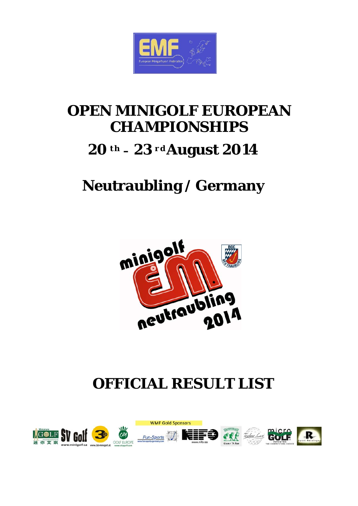

# **OPEN MINIGOLF EUROPEAN CHAMPIONSHIPS**

# **20 t h – 23 r dAugust 2014**

# **Neutraubling / Germany**



# **OFFICIAL RESULT LIST**

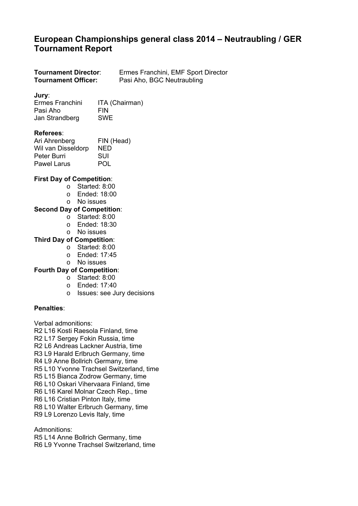# **European Championships general class 2014 – Neutraubling / GER Tournament Report**

| <b>Tournament Director:</b> | Ermes Franchini, EMF Sport Director |
|-----------------------------|-------------------------------------|
| <b>Tournament Officer:</b>  | Pasi Aho, BGC Neutraubling          |

#### **Jury**:

| Ermes Franchini | ITA (Chairman) |
|-----------------|----------------|
| Pasi Aho        | <b>FIN</b>     |
| Jan Strandberg  | <b>SWE</b>     |

#### **Referees**:

| Ari Ahrenberg      | FIN (Head) |
|--------------------|------------|
| Wil van Disseldorp | NED        |
| Peter Burri        | SUI        |
| Pawel Larus        | POL        |

#### **First Day of Competition**:

- o Started: 8:00
	- o Ended: 18:00
	- o No issues

#### **Second Day of Competition**:

- o Started: 8:00
- o Ended: 18:30
- o No issues
- **Third Day of Competition**:
	- o Started: 8:00
	- o Ended: 17:45
	- o No issues

#### **Fourth Day of Competition**:

- o Started: 8:00
- o Ended: 17:40
- o Issues: see Jury decisions

#### **Penalties**:

Verbal admonitions:

R2 L16 Kosti Raesola Finland, time R2 L17 Sergey Fokin Russia, time R2 L6 Andreas Lackner Austria, time R3 L9 Harald Erlbruch Germany, time R4 L9 Anne Bollrich Germany, time R5 L10 Yvonne Trachsel Switzerland, time R5 L15 Bianca Zodrow Germany, time R6 L10 Oskari Vihervaara Finland, time R6 L16 Karel Molnar Czech Rep., time R6 L16 Cristian Pinton Italy, time R8 L10 Walter Erlbruch Germany, time R9 L9 Lorenzo Levis Italy, time

Admonitions:

R5 L14 Anne Bollrich Germany, time R6 L9 Yvonne Trachsel Switzerland, time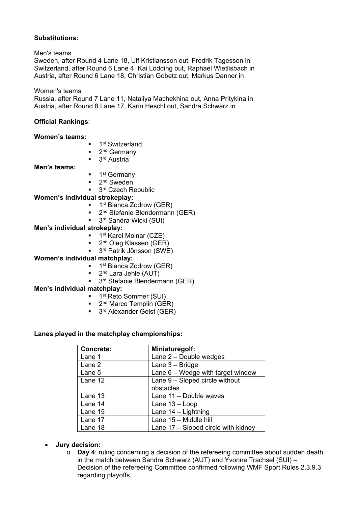#### **Substitutions:**

Men's teams

Sweden, after Round 4 Lane 18, Ulf Kristiansson out, Fredrik Tagesson in Switzerland, after Round 6 Lane 4, Kai Lödding out, Raphael Wietlisbach in Austria, after Round 6 Lane 18, Christian Gobetz out, Markus Danner in

Women's teams

Russia, after Round 7 Lane 11, Nataliya Machekhina out, Anna Pritykina in Austria, after Round 8 Lane 17, Karin Heschl out, Sandra Schwarz in

#### **Official Rankings**:

**Women's teams:**

- 1<sup>st</sup> Switzerland,
- $\blacksquare$  2<sup>nd</sup> Germany
- 3<sup>rd</sup> Austria

**Men's teams:**

- $\blacksquare$  1<sup>st</sup> Germany
- 2<sup>nd</sup> Sweden
- 3<sup>rd</sup> Czech Republic

### **Women's individual strokeplay:**

- $\blacksquare$  1<sup>st</sup> Bianca Zodrow (GER)
- 2<sup>nd</sup> Stefanie Blendermann (GER)<br>■ 3<sup>rd</sup> Sandra Wicki (SUI)
- 3rd Sandra Wicki (SUI)

#### **Men's individual strokeplay:**

- $\blacksquare$  1<sup>st</sup> Karel Molnar (CZE)
- $\blacksquare$  2<sup>nd</sup> Oleg Klassen (GER)
- 3<sup>rd</sup> Patrik Jönsson (SWE)

#### **Women's individual matchplay:**

- $\blacksquare$  1<sup>st</sup> Bianca Zodrow (GER)
- **2nd Lara Jehle (AUT)**<br>**2nd Stefanie Blenderm**
- 3<sup>rd</sup> Stefanie Blendermann (GER)

#### **Men's individual matchplay:**

- **1**st Reto Sommer (SUI)
- $\blacksquare$  2<sup>nd</sup> Marco Templin (GER)
- 3<sup>rd</sup> Alexander Geist (GER)

#### **Lanes played in the matchplay championships:**

| <b>Concrete:</b> | Miniaturegolf:                      |
|------------------|-------------------------------------|
| Lane 1           | Lane 2 - Double wedges              |
| Lane 2           | Lane $3 -$ Bridge                   |
| Lane 5           | Lane $6$ – Wedge with target window |
| Lane 12          | Lane $9$ – Sloped circle without    |
|                  | obstacles                           |
| Lane 13          | Lane 11 - Double waves              |
| Lane 14          | Lane $13 -$ Loop                    |
| Lane 15          | Lane $14$ - Lightning               |
| Lane 17          | Lane 15 - Middle hill               |
| Lane 18          | Lane 17 - Sloped circle with kidney |

- **Jury decision:** 
	- o **Day 4**: ruling concerning a decision of the refereeing committee about sudden death in the match between Sandra Schwarz (AUT) and Yvonne Trachsel (SUI) – Decision of the refereeing Committee confirmed following WMF Sport Rules 2.3.9.3 regarding playoffs.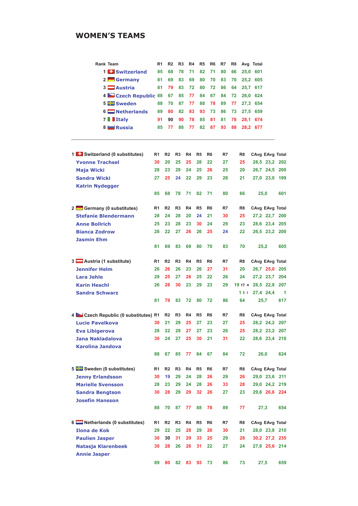## **WOMEN'S TEAMS**

| 2 Germany<br>69<br>80<br>83<br>25,2 605<br>69<br>83<br>70<br>70<br>81                                                                                     |     |
|-----------------------------------------------------------------------------------------------------------------------------------------------------------|-----|
| 3 Austria<br>83<br>72<br>80<br>72<br>86<br>64<br>25,7 617<br>81<br>79                                                                                     |     |
| 4 Czech Republic 88<br>85<br>77<br>84<br>67<br>84<br>72<br>26,0 624<br>67                                                                                 |     |
| 5 Sweden<br>88<br>70<br>87<br>77<br>88<br>78<br>89<br>77<br>27,3 654                                                                                      |     |
| 6 Netherlands<br>82<br>93<br>86<br>80<br>83<br>73<br>73<br>27,5 659<br>89                                                                                 |     |
| $7$ III Italy<br>85<br>90<br>90<br>78<br>81<br>81<br>78<br>28,1 674<br>91                                                                                 |     |
| 8 Russia<br>85<br>77 88<br>77 82<br>93<br>88<br>28,2 677<br>87                                                                                            |     |
|                                                                                                                                                           |     |
| 1 Switzerland (0 substitutes)<br>R <sub>5</sub><br>R <sub>2</sub><br>R3<br>R4<br>R6<br><b>CAvg EAvg Total</b><br>R1<br>R7<br>R8<br><b>Yvonne Trachsel</b> |     |
| 20<br>25<br>25<br>28<br>22<br>28,5 23,2 202<br>30<br>27<br>25<br>24 25 26<br>23<br>29<br>26,7 24,5 200<br>28<br>25<br>20                                  |     |
| Maja Wicki<br><b>Sandra Wicki</b><br>24<br>22<br>27,0 23,0 199<br>27<br>25<br>29<br>23<br>28<br>21                                                        |     |
| <b>Katrin Nydegger</b>                                                                                                                                    |     |
| 68<br>78 71 82 71<br>66<br>25,0<br>85<br>80                                                                                                               | 601 |
| 2 Germany (0 substitutes)<br><b>CAvg EAvg Total</b><br>R <sub>2</sub><br>R3<br>R4<br>R5<br>R6<br>R7<br>R8<br>R1                                           |     |
| 28<br>20<br>27,2 22,7 200<br><b>Stefanie Blendermann</b><br>24<br>24<br>21<br>28<br>30<br>25                                                              |     |
| 28<br>23<br>23<br>30<br>24<br>29<br>23<br>28,6 23,4 205<br><b>Anne Bollrich</b><br>25                                                                     |     |
| <b>Bianca Zodrow</b><br>22<br>27<br>26<br>26 25<br>26,5 23,2 200<br>28<br>24<br>22                                                                        |     |
| <b>Jasmin Ehm</b>                                                                                                                                         |     |
| 81<br>69<br>83<br>69<br>80 70<br>70<br>25,2<br>83                                                                                                         | 605 |
| 3 Austria (1 substitute)<br>CAvg EAvg Total<br>R <sub>2</sub><br>R3<br>R4<br>R5<br>R6<br>R7<br>R1<br>R8                                                   |     |
| Jennifer Helm<br>26<br>26<br>23<br>26<br>-27<br>26,7 25,0 205<br>26<br>31<br>20                                                                           |     |
| 25<br>27,2 23,7 204<br>Lara Jehle<br>25<br>27<br>26<br>- 22<br>26<br>24<br>29                                                                             |     |
| <b>Karin Heschl</b><br>23<br>19 17 o 28,5 22,8 207<br>28<br>30<br>29 23<br>29<br>26                                                                       |     |
| <b>Sandra Schwarz</b><br>11 i 27,4 24,4                                                                                                                   | -1  |
| 64<br>79<br>83 72 80 72<br>86<br>25,7<br>81                                                                                                               | 617 |
| 4 Czech Republic (0 substitutes) R1 R2<br>R3<br>R4<br>R5<br>R8<br>CAvg EAvg Total<br>R6<br>R7                                                             |     |
| 29<br>23<br>27<br>28,2 24,2 207<br><b>Lucie Pavelkova</b><br>30<br>21<br>25<br>27<br>25                                                                   |     |
| 29<br>27<br>23<br>26<br>28,2 23,2 207<br>28<br>22<br>27<br>25<br><b>Eva Libigerova</b>                                                                    |     |
| Jana Nakladalova<br>30<br>24<br>31<br>22<br>28,6 23,4 210                                                                                                 |     |
| Karolina Jandova<br>67 85 77 84 67<br>88<br>84<br>72<br>26,0                                                                                              | 624 |
| 5 <b>B</b> Sweden (0 substitutes)<br>R4<br><b>R5 R6</b><br><b>CAvg EAvg Total</b><br>R2<br>R3<br>R7<br>R8<br>R1                                           |     |
| 29,0 23,6 211<br><b>Jenny Erlandsson</b><br>19<br>29<br>24<br>28<br>26<br>29<br>26<br>30                                                                  |     |
| <b>Marielle Svensson</b><br>29<br>24<br>28<br>29,0 24,2 219<br>28<br>23<br>-26<br>28<br>33                                                                |     |
| 28<br>29<br>32 26<br>29,8 26,6 224<br><b>Sandra Bengtson</b><br>30<br>29<br>27<br>23                                                                      |     |
| <b>Josefin Hansson</b>                                                                                                                                    |     |
| 87 77 88 78<br>77<br>27,3<br>88<br>70<br>89                                                                                                               | 654 |
| 6 Netherlands (0 substitutes)<br>R4<br>R <sub>5</sub><br>R6<br>CAvg EAvg Total<br>R1 R2 R3<br>R7<br>R8                                                    |     |
| <b>Ilona de Kok</b><br>22<br>28<br>29<br>28,0 23,8 210<br>29<br>25<br>26<br>30<br>21                                                                      |     |
| 30,2 27,2 235<br>30<br>31<br>29<br>33<br>25<br>29<br>28<br><b>Paulien Jasper</b><br>30                                                                    |     |
| 27,8 25,6 214<br>Natasja Klarenbeek<br>28<br>26<br>26<br>31<br>22<br>27<br>24<br>30                                                                       |     |
| <b>Annie Jasper</b>                                                                                                                                       |     |

**Rank Team R1 R2 R3 R4 R5 R6 R7 R8 Avg Total**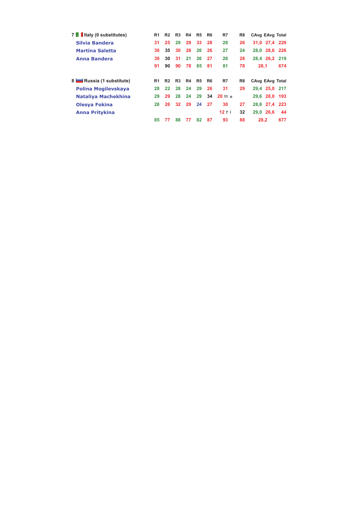| 7 Italy (0 substitutes) | R <sub>1</sub> | R <sub>2</sub> | R3              | R4 | R <sub>5</sub> | R <sub>6</sub> | R7    | R8             | CAvg EAvg Total |
|-------------------------|----------------|----------------|-----------------|----|----------------|----------------|-------|----------------|-----------------|
| Silvia Bandera          | 31             | 25             | 29              | 29 | 33             | 28             | 28    | 26             | 31,0 27,4 229   |
| <b>Martina Saletta</b>  | 30             | 35             | 30              | 28 | 26             | 26             | 27    | 24             | 28,0 28,6 226   |
| <b>Anna Bandera</b>     | 30             | 30             | 31              | 21 | 26             | - 27           | 26    | 28             | 28,4 26,2 219   |
|                         | 91             | 90             | 90              | 78 | 85             | 81             | 81    | 78             | 674<br>28.1     |
|                         |                |                |                 |    |                |                |       |                |                 |
|                         |                |                |                 |    |                |                |       |                |                 |
| 8 Russia (1 substitute) | R1             | R <sub>2</sub> | R <sub>3</sub>  | R4 | R <sub>5</sub> | R <sub>6</sub> | R7    | R <sub>8</sub> | CAvg EAvg Total |
| Polina Mogilevskaya     | 28             | $22 \,$        | 28              | 24 | 29             | 26             | 31    | 29             | 29,4 25,0 217   |
| Nataliya Machekhina     | 29             | 29             | 28              | 24 | 29             | 34             | 20110 |                | 29,6 28,0 193   |
| <b>Olesya Fokina</b>    | 28             | 26             | 32 <sup>2</sup> | 29 | 24             | -27            | 30    | 27             | 28,8 27,4 223   |
| <b>Anna Pritykina</b>   |                |                |                 |    |                |                | 127i  | 32             | 29.0 26.6<br>44 |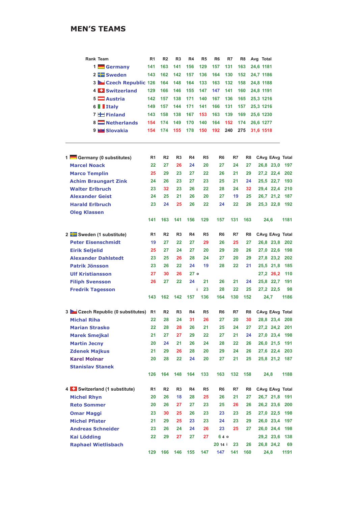### **MEN'S TEAMS**

| Rank Team |                                                            | R1  | R <sub>2</sub> | R <sub>3</sub> | R4 |                             | R5 R6 | R7 | R8 Avg Total                              |  |
|-----------|------------------------------------------------------------|-----|----------------|----------------|----|-----------------------------|-------|----|-------------------------------------------|--|
|           | 1 Germany                                                  | 141 | 163 141        |                |    | 156 129 157 131             |       |    | 163 24.6 1181                             |  |
|           | $2$ $\blacksquare$ Sweden                                  |     |                |                |    |                             |       |    | 143 162 142 157 136 164 130 152 24.7 1186 |  |
|           | 3 Czech Republic 126 164 148 164 133 163 132 158 24,8 1188 |     |                |                |    |                             |       |    |                                           |  |
|           | 4 <b>El Switzerland</b>                                    | 129 |                |                |    | 166 146 155 147 147 141     |       |    | 160 24.8 1191                             |  |
|           | $5 \equiv$ Austria                                         |     |                |                |    |                             |       |    | 142 157 138 171 140 167 136 165 25.3 1216 |  |
|           | $6$ <b>H</b> Italy                                         | 149 |                |                |    | 157 144 171 141 166 131 157 |       |    | 25.3 1216                                 |  |
|           | $7 +$ Finland                                              | 143 | 158            |                |    | 138 167 153 163 139 169     |       |    | 25.6 1230                                 |  |
|           | 8 Netherlands                                              |     |                |                |    |                             |       |    | 154 174 149 170 140 164 152 174 26.6 1277 |  |
|           | 9 <b>W</b> Slovakia                                        |     |                |                |    |                             |       |    | 154 174 155 178 150 192 240 275 31.6 1518 |  |

| 1 Germany (0 substitutes)           | R1             | R <sub>2</sub> | R <sub>3</sub> | R4              | R <sub>5</sub> | R <sub>6</sub> | R7       | R8  | CAvg EAvg Total |      |
|-------------------------------------|----------------|----------------|----------------|-----------------|----------------|----------------|----------|-----|-----------------|------|
| <b>Marcel Noack</b>                 | 22             | 27             | 26             | 24              | 20             | 27             | 24       | 27  | 26,8 23,0 197   |      |
| <b>Marco Templin</b>                | 25             | 29             | 23             | 27              | 22             | 26             | 21       | 29  | 27,2 22,4 202   |      |
| <b>Achim Braungart Zink</b>         | 24             | 26             | 23             | 27              | 23             | 25             | 21       | 24  | 25,5 22,7 193   |      |
| <b>Walter Erlbruch</b>              | 23             | 32             | 23             | 26              | 22             | 28             | 24       | 32  | 29,4 22,4 210   |      |
| <b>Alexander Geist</b>              | 24             | 25             | 21             | 26              | 20             | 27             | 19       | 25  | 26,7 21,2 187   |      |
| <b>Harald Erlbruch</b>              | 23             | 24             | 25             | 26              | 22             | 24             | 22       | 26  | 25,3 22,8 192   |      |
| <b>Oleg Klassen</b>                 |                |                |                |                 |                |                |          |     |                 |      |
|                                     | 141            | 163            | 141            | 156             | 129            | 157            | 131      | 163 | 24,6            | 1181 |
| 2 Sweden (1 substitute)             | R <sub>1</sub> | R <sub>2</sub> | R <sub>3</sub> | R4              | R <sub>5</sub> | R6             | R7       | R8  | CAvg EAvg Total |      |
| <b>Peter Eisenschmidt</b>           | 19             | 27             | 22             | 27              | 29             | 26             | 25       | 27  | 26,8 23,8 202   |      |
| <b>Eirik Seljelid</b>               | 25             | 27             | 24             | 27              | 20             | 29             | 20       | 26  | 27,0 22,6 198   |      |
| <b>Alexander Dahlstedt</b>          | 23             | 25             | 26             | 28              | 24             | 27             | 20       | 29  | 27,8 23,2 202   |      |
| <b>Patrik Jönsson</b>               | 23             | 26             | $22 \,$        | 24              | 19             | 28             | 22       | 21  | 25,5 21,8 185   |      |
| <b>Ulf Kristiansson</b>             | 27             | 30             | 26             | 27 <sub>o</sub> |                |                |          |     | 27,2 26,2 110   |      |
| <b>Filiph Svensson</b>              | 26             | 27             | 22             | 24              | 21             | 26             | 21       | 24  | 25,8 22,7 191   |      |
| <b>Fredrik Tagesson</b>             |                |                |                | i               | 23             | 28             | 22       | 25  | 27,2 22,5       | 98   |
|                                     | 143            | 162            | 142            | 157             | 136            | 164            | 130      | 152 | 24,7            | 1186 |
| 3 Czech Republic (0 substitutes) R1 |                | R2             | R <sub>3</sub> | R4              | R <sub>5</sub> | R <sub>6</sub> | R7       | R8  | CAvg EAvg Total |      |
| <b>Michal Riha</b>                  | 22             | 28             | 24             | 31              | 26             | 27             | 20       | 30  | 28,8 23,4 208   |      |
| <b>Marian Strasko</b>               | 22             | 28             | 28             | 26              | 21             | 25             | 24       | 27  | 27,2 24,2 201   |      |
|                                     |                |                |                | 29              | 22             |                |          |     |                 |      |
| <b>Marek Smejkal</b>                | 21             | 27             | 27             |                 |                | 27             | 21       | 24  | 27,0 23,4 198   |      |
| <b>Martin Jecny</b>                 | 20             | 24             | 21             | 26              | 24             | 28             | 22       | 26  | 26,0 21,5 191   |      |
| <b>Zdenek Majkus</b>                | 21             | 29<br>28       | 26<br>22       | 28              | 20             | 29<br>27       | 24<br>21 | 26  | 27,6 22,4 203   |      |
| <b>Karel Molnar</b>                 | 20             |                |                | 24              | 20             |                |          | 25  | 25,8 21,2 187   |      |
| <b>Stanislav Stanek</b>             | 126            | 164            | 148            | 164             | 133            | 163            | 132      | 158 | 24,8            | 1188 |
|                                     |                |                |                |                 |                |                |          |     |                 |      |
| 4 Bwitzerland (1 substitute)        | R <sub>1</sub> | R2             | R <sub>3</sub> | R4              | R <sub>5</sub> | R <sub>6</sub> | R7       | R8  | CAvg EAvg Total |      |
| <b>Michel Rhyn</b>                  | 20             | 26             | 18             | 28              | 25             | 26             | 21       | 27  | 26,7 21,8 191   |      |
| <b>Reto Sommer</b>                  | 20             | 26             | 27             | 27              | 23             | 25             | 26       | 26  | 26,2 23,6 200   |      |
| <b>Omar Maggi</b>                   | 23             | 30             | 25             | 26              | 23             | 23             | 23       | 25  | 27,0 22,5 198   |      |
| <b>Michel Pfister</b>               | 21             | 29             | 25             | 23              | 23             | 24             | 23       | 29  | 26,0 23,4 197   |      |
| <b>Andreas Schneider</b>            | 23             | 26             | 24             | 24              | 26             | 23             | 25       | 27  | 26,0 24,4 198   |      |
| <b>Kai Lödding</b>                  | 22             | 29             | 27             | 27              | 27             | 64 o           |          |     | 29,2 23,6 138   |      |
| <b>Raphael Wietlisbach</b>          |                |                |                |                 |                | 20 14 i        | 23       | 26  | 26,8 24,2       | 69   |
|                                     | 129            | 166            | 146            | 155             | 147            | 147            | 141      | 160 | 24,8            | 1191 |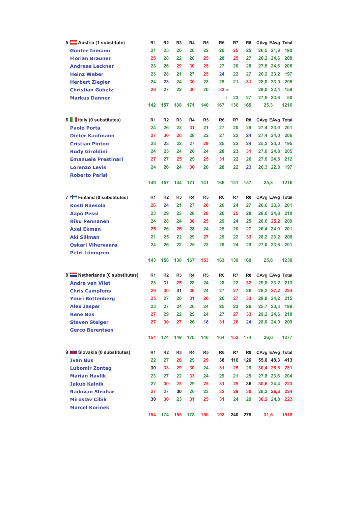| 5 Austria (1 substitute)           | R1  | R <sub>2</sub>  | R <sub>3</sub>       | R4  | R5                  | R6             | R7          | R8      | CAvg EAvg Total                  |      |
|------------------------------------|-----|-----------------|----------------------|-----|---------------------|----------------|-------------|---------|----------------------------------|------|
| Günter Inmann                      | 21  | 25              | 20                   | 26  | 22                  | 26             | 25          | 25      | 26,5 21,8 190                    |      |
| <b>Florian Brauner</b>             | 25  | 28              | 22                   | 28  | 25                  | 28             | 25          | 27      | 28,2 24,6 208                    |      |
| <b>Andreas Lackner</b>             | 23  | 26              | 29                   | 30  | 25                  | 27             | 20          | 28      | 27,6 24,6 208                    |      |
| <b>Heinz Weber</b>                 | 23  | 28              | 21                   | 27  | 25                  | 24             | 22          | 27      | 26,2 23,2 197                    |      |
| <b>Herbert Ziegler</b>             | 24  | 23              | 24                   | 30  | 23                  | 29             | 21          | 31      | 28,0 23,0 205                    |      |
| <b>Christian Gobetz</b>            | 26  | 27              | 22                   | 30  | 20                  | 330            |             |         | 29,0 22,4 158                    |      |
| <b>Markus Danner</b>               |     |                 |                      |     |                     |                | 23          | 27      | 27,6 23,6                        | 50   |
|                                    | 142 | 157             | 138                  | 171 | 140                 | 167            | 136         | 165     | 25,3                             | 1216 |
|                                    |     |                 |                      |     |                     |                |             |         |                                  |      |
| 6 II Italy (0 substitutes)         | R1  | R <sub>2</sub>  | R <sub>3</sub>       | R4  | R <sub>5</sub>      | R <sub>6</sub> | R7          | R8      | <b>CAvg EAvg Total</b>           |      |
| <b>Paolo Porta</b>                 | 24  | 26              | 23                   | 31  | 21                  | 27             | 20          | 29      | 27,4 23,0 201                    |      |
| <b>Dieter Kaufmann</b>             | 27  | 30              | 26                   | 28  | 22                  | 27             | 22          | 24      | 27,4 24,0 206                    |      |
| <b>Cristian Pinton</b>             | 23  | 23              | 22                   | 27  | 29                  | 25             | 22          | 24      | 25,2 23,0 195                    |      |
| <b>Rudy Giroldini</b>              | 24  | 25              | 24                   | 26  | 24                  | 28             | 23          | 31      | 27,6 24,8 205                    |      |
| <b>Emanuele Prestinari</b>         | 27  | 27              | 25                   | 29  | 25                  | 31             | 22          | 26      | 27,6 24,8 212                    |      |
| <b>Lorenzo Levis</b>               | 24  | 26              | 24                   | 30  | 20                  | 28             | 22          | 23      | 26,3 22,8 197                    |      |
|                                    |     |                 |                      |     |                     |                |             |         |                                  |      |
| <b>Roberto Parisi</b>              |     |                 |                      |     |                     |                |             |         |                                  |      |
|                                    | 149 | 157             | 144                  | 171 | 141                 | 166            | 131         | 157     | 25,3                             | 1216 |
| 7 <b>T</b> Finland (0 substitutes) | R1  | R <sub>2</sub>  | R <sub>3</sub>       | R4  | R5                  | R6             | R7          | R8      | CAvg EAvg Total                  |      |
| <b>Kosti Raesola</b>               | 26  | 24              | 21                   | 27  | 26                  | 26             | 24          | 27      | 26,6 23,8 201                    |      |
|                                    |     | 29              | 23                   | 28  | 28                  | 26             | 25          | 28      |                                  |      |
| <b>Aapo Pessi</b>                  | 23  |                 |                      |     |                     |                |             |         | 28,6 24,8 210                    |      |
| <b>Riku Pennanen</b>               | 24  | 28              | 24                   | 30  | 25                  | 29             | 24          | 25      | 28,6 25,2 209                    |      |
| <b>Axel Ekman</b>                  | 25  | 26              | 26                   | 28  | 24                  | 25             | 20          | 27      | 26,4 24,0 201                    |      |
| Aki Sillman                        | 21  | 25              | 22                   | 29  | 27                  | 29             | 22          | 33      | 28,2 23,2 208                    |      |
| <b>Oskari Vihervaara</b>           | 24  | 26              | 22                   | 25  | 23                  | 28             | 24          | 29      | 27,0 23,6 201                    |      |
| Petri Lönngren                     |     |                 |                      |     |                     |                |             |         |                                  |      |
|                                    | 143 | 158             | 138                  | 167 | 153                 | 163            | 139         | 169     | 25,6                             | 1230 |
|                                    |     |                 |                      |     |                     |                |             |         |                                  |      |
| 8 Netherlands (0 substitutes)      | R1  | R <sub>2</sub>  | R <sub>3</sub><br>25 | R4  | R <sub>5</sub>      | R6             | R7<br>22    | R8      | CAvg EAvg Total<br>29,8 23,2 213 |      |
| <b>Andre van Vliet</b>             | 23  | 31              |                      | 28  | 24                  | 28             |             | 32      |                                  |      |
| <b>Chris Campfens</b>              | 29  | 30              | 31                   | 30  | 24                  | 27             | 27          | 26      | 28,2 27,2 224                    |      |
| <b>Youri Bottenberg</b>            | 25  | 27              | 20                   | 31  | 26                  | 26             | 27          | 33      | 29,8 24,2 215                    |      |
| <b>Alex Jasper</b>                 | 23  | 27              | 24                   | 26  | 24                  | 25             | 23          | 26      | 25,7 23,3 198                    |      |
| <b>Rene Bos</b>                    | 27  | 29              | 22                   | 29  | 24                  | 27             | 27          | 33      | 29,2 24,6 218                    |      |
| <b>Steven Steiger</b>              | 27  | 30              | 27                   | 26  | 18                  | 31             | 26          | 24      | 28,0 24,0 209                    |      |
| <b>Gerco Berentsen</b>             |     |                 |                      |     |                     |                |             |         |                                  |      |
|                                    |     | 154 174 149 170 |                      |     | 140                 | 164            |             | 152 174 | 26,6                             | 1277 |
|                                    |     |                 |                      |     |                     |                |             |         |                                  |      |
| 9 Slovakia (0 substitutes)         | R1  | R <sub>2</sub>  | R <sub>3</sub>       | R4  | R5                  | R <sub>6</sub> | R7          | R8      | CAvg EAvg Total                  |      |
| <b>Ivan Bus</b>                    | 22  | 27              | 26                   | 29  | 29                  | 38             | 116         | 126     | 55,0 48,3 413                    |      |
| <b>Lubomir Zontag</b>              | 30  | 33              | 29                   | 30  | 24                  | 31             | 25          | 29      | 30,4 26,8 231                    |      |
| <b>Marian Havlik</b>               | 23  | 27              | 22                   | 33  | 24                  | 29             | 21          | 25      | 27,8 23,6 204                    |      |
| <b>Jakub Kalnik</b>                | 22  | 30              | 25                   | 29  | 25                  | 31             | 25          | 36      | 30,6 24,4 223                    |      |
| <b>Radovan Struhar</b>             | 27  | 27              | 30                   | 26  | 23                  | 32             | 29          | 30      | 28,2 26,6 224                    |      |
| <b>Miroslav Cibik</b>              | 30  | 30              | 23                   | 31  | 25                  | 31             | 24          | 29      | 30,2 24,8 223                    |      |
| <b>Marcel Korinek</b>              |     |                 |                      |     |                     |                |             |         |                                  |      |
|                                    |     |                 |                      |     | 154 174 155 178 150 |                | 192 240 275 |         | 31,6                             | 1518 |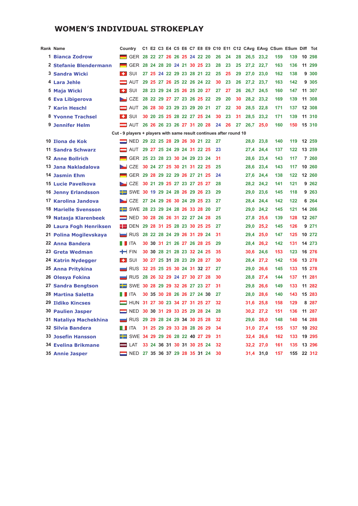### **WOMEN'S INDIVIDUAL STROKEPLAY**

| Rank Name                   | Country C1 E2 C3 E4 C5 E6 C7 E8 E9 C10 E11 C12 CAvg EAvg CSum ESum Diff Tot |                                |  |                            |  |  |                                  |    |      |                                                   |           |     |            |         |
|-----------------------------|-----------------------------------------------------------------------------|--------------------------------|--|----------------------------|--|--|----------------------------------|----|------|---------------------------------------------------|-----------|-----|------------|---------|
| 1 Bianca Zodrow             | GER 28 22 27 26 26 25 24 22 20 26 24 28 26,5 23,2                           |                                |  |                            |  |  |                                  |    |      |                                                   |           | 159 | 139        | 10 298  |
| 2 Stefanie Blendermann      | —                                                                           |                                |  |                            |  |  |                                  |    |      | GER 28 24 28 20 24 21 30 25 23 28 23 25 27,2 22,7 |           | 163 | 136        | 11 299  |
| <b>3 Sandra Wicki</b>       | <b>1.</b> SUI 27 25 24 22 29 23 28 21 22 25 25                              |                                |  |                            |  |  |                                  |    |      | 29 27,0 23,0                                      |           | 162 | 138        | 9 300   |
| 4 Lara Jehle                | AUT 29 25 27 26 25 22 26 24 22 30 23 26 27,2 23,7                           |                                |  |                            |  |  |                                  |    |      |                                                   |           | 163 | 142        | 9 3 0 5 |
| 5 Maja Wicki                | <b>EXECUTE:</b>                                                             |                                |  |                            |  |  | 28 23 29 24 25 26 25 20 27 27 27 |    | 26   | 26,7 24,5                                         |           | 160 | 147        | 11 307  |
| 6 Eva Libigerova            | CZE 28 22 29 27 27 23 26 25 22 29                                           |                                |  |                            |  |  |                                  | 20 | 30   | 28,2 23,2                                         |           | 169 | 139        | 11 308  |
| <b>7 Karin Heschl</b>       | AUT 26 28 30 23 29 23 29 20 21 27 22                                        |                                |  |                            |  |  |                                  |    | - 30 | 28,5 22,8                                         |           | 171 | 137 12 308 |         |
| 8 Yvonne Trachsel           | <b>H</b> SUI                                                                |                                |  |                            |  |  |                                  |    |      | 30 20 25 25 28 22 27 25 24 30 23 31 28,5 23,2     |           | 171 | 139        | 11 310  |
| 9 Jennifer Helm             | AUT 26 26 26 23 26 27 31 20 28 24 26 27 26.7 25.0                           |                                |  |                            |  |  |                                  |    |      |                                                   |           | 160 | 150 15 310 |         |
|                             | Cut - 9 players + players with same result continues after round 10         |                                |  |                            |  |  |                                  |    |      |                                                   |           |     |            |         |
| 10 Ilona de Kok             | NED 29 22 25 28 29 26 30 21 22 27                                           |                                |  |                            |  |  |                                  |    |      |                                                   | 28,0 23,8 | 140 | 119 12 259 |         |
| 11 Sandra Schwarz           | AUT 29 27 25 24 29 24 31 22 25                                              |                                |  |                            |  |  | - 23                             |    |      |                                                   | 27,4 24,4 | 137 | 122 13 259 |         |
| <b>12 Anne Bollrich</b>     |                                                                             | GER 25 23 28 23 30 24 29 23 24 |  |                            |  |  | - 31                             |    |      |                                                   | 28,6 23,4 | 143 | 117        | 7 260   |
| 13 Jana Nakladalova         | CZE 30 24 27 25 30 21 31 22 25                                              |                                |  |                            |  |  | - 25                             |    |      |                                                   | 28,6 23,4 | 143 | 117        | 10 260  |
| 14 Jasmin Ehm               |                                                                             | GER 29 28 29 22 29 26 27 21 25 |  |                            |  |  | - 24                             |    |      |                                                   | 27,6 24,4 | 138 | 122 12 260 |         |
| <b>15 Lucie Pavelkova</b>   |                                                                             | CZE 30 21 29 25 27 23 27 25 27 |  |                            |  |  | 28                               |    |      |                                                   | 28,2 24,2 | 141 | 121        | 9 2 6 2 |
| <b>16 Jenny Erlandsson</b>  | SWE 30 19 29 24 28 26 29 26 23                                              |                                |  |                            |  |  | 29                               |    |      |                                                   | 29,0 23,6 | 145 | 118        | 9 2 6 3 |
| 17 Karolina Jandova         | CZE 27 24 29 26 30 24 29 25 23                                              |                                |  |                            |  |  | -27                              |    |      |                                                   | 28,4 24,4 | 142 | 122        | 6 2 6 4 |
| <b>18 Marielle Svensson</b> | SWE 28 23 29 24 28 26 33 28 20                                              |                                |  |                            |  |  | -27                              |    |      |                                                   | 29,0 24,2 | 145 | 121 14 266 |         |
| 19 Natasja Klarenbeek       | NED 30 28 26 26 31 22 27 24 28                                              |                                |  |                            |  |  | -25                              |    |      |                                                   | 27,8 25,6 | 139 | 128 12 267 |         |
| 20 Laura Fogh Henriksen     | <b>EXECUTE:</b> DEN 29 28 31 25 28 28 23 30 25 25                           |                                |  |                            |  |  | - 27                             |    |      |                                                   | 29,0 25,2 | 145 | 126        | 9 271   |
| 21 Polina Mogilevskaya      | RUS 28 22 28 24 29 26 31 29 24 31                                           |                                |  |                            |  |  |                                  |    |      |                                                   | 29,4 25,0 | 147 | 125 10 272 |         |
| 22 Anna Bandera             | <b>THEFT</b>                                                                |                                |  | 30 30 31 21 26 27 26 28 25 |  |  | - 29                             |    |      |                                                   | 28,4 26,2 | 142 | 131 14 273 |         |
| 23 Greta Wedman             | $F_{\text{FIN}}$                                                            |                                |  | 30 30 28 21 28 23 32 24 25 |  |  | - 35                             |    |      |                                                   | 30,6 24,6 | 153 | 123 16 276 |         |
| 24 Katrin Nydegger          | <b>EXECUTE:</b>                                                             |                                |  |                            |  |  | 30 27 25 31 28 23 29 28 27 30    |    |      |                                                   | 28,4 27,2 | 142 | 136 13 278 |         |
| 25 Anna Pritykina           | RUS 32 25 25 25 30 24 31 32 27 27                                           |                                |  |                            |  |  |                                  |    |      |                                                   | 29,0 26,6 | 145 | 133 15 278 |         |
| 26 Olesya Fokina            | RUS 28 26 32 29 24 27 30 27 28                                              |                                |  |                            |  |  | - 30                             |    |      |                                                   | 28,8 27,4 | 144 | 137 11 281 |         |
| 27 Sandra Bengtson          | SWE 30 28 29 29 32 26 27 23 27 31                                           |                                |  |                            |  |  |                                  |    |      |                                                   | 29,8 26,6 | 149 | 133 11 282 |         |
| <b>28 Martina Saletta</b>   | ITA 30 35 30 28 26 26 27 24 30                                              |                                |  |                            |  |  | - 27                             |    |      |                                                   | 28,0 28,6 | 140 | 143 15 283 |         |
| <b>29 Ildiko Kincses</b>    | HUN 31 27 30 23 34 27 31 25 27                                              |                                |  |                            |  |  | 32                               |    |      |                                                   | 31,6 25,8 | 158 | 129        | 8 2 8 7 |
| <b>30 Paulien Jasper</b>    | NED 30 30 31 29 33 25 29 28 24                                              |                                |  |                            |  |  | -28                              |    |      |                                                   | 30,2 27,2 | 151 | 136        | 11 287  |
| 31 Nataliya Machekhina      | RUS 29 29 28 24 29 34 30 25 28                                              |                                |  |                            |  |  | 32                               |    |      |                                                   | 29,6 28,0 | 148 | 140        | 14 288  |
| 32 Silvia Bandera           | <b>THEFTA</b>                                                               | 31 25 29 29 33 28 28 26 29     |  |                            |  |  | 34                               |    |      |                                                   | 31,0 27,4 | 155 | 137 10 292 |         |
| <b>33 Josefin Hansson</b>   | SWE 34 29 29 26 28 22 40 27 29                                              |                                |  |                            |  |  | -31                              |    |      |                                                   | 32,4 26,6 | 162 | 133        | 19 295  |
| <b>34 Evelina Brikmane</b>  |                                                                             | LAT 33 24 36 31 30 31 30 25 24 |  |                            |  |  | 32                               |    |      |                                                   | 32,2 27,0 | 161 | 135 13 296 |         |
| 35 Annie Jasper             | NED 27 35 36 37 29 28 35 31 24 30                                           |                                |  |                            |  |  |                                  |    |      |                                                   | 31,4 31,0 | 157 | 155 22 312 |         |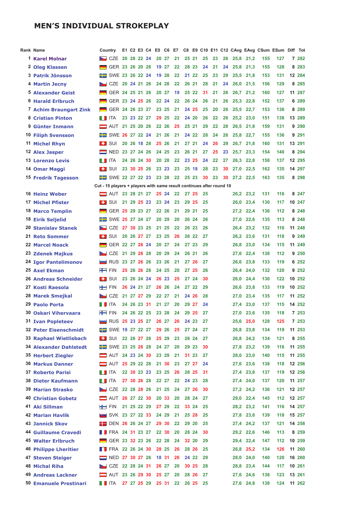# **MEN'S INDIVIDUAL STROKEPLAY Statistics in Lane statistics in Teams statistics in Most aces**

| Rank Name                     | Country                                                              |  |                      |  |                                  |       |      |      |    |                                                   |           |     | E1 C2 E3 C4 E5 C6 E7 C8 E9 C10 E11 C12 CAvg EAvg CSum ESum Diff Tot |            |
|-------------------------------|----------------------------------------------------------------------|--|----------------------|--|----------------------------------|-------|------|------|----|---------------------------------------------------|-----------|-----|---------------------------------------------------------------------|------------|
| 1 Karel Molnar                | CZE 20 28 22 24 20 27 21 25 21 25 23 26 25,8 21,2                    |  |                      |  |                                  |       |      |      |    |                                                   |           | 155 | 127                                                                 | 7 282      |
| 2 Oleg Klassen                |                                                                      |  |                      |  |                                  |       |      |      |    | GER 23 26 20 26 19 27 22 28 23 24 21 24 25,8 21,3 |           | 155 | 128                                                                 | 8 2 8 3    |
| 3 Patrik Jönsson              | SWE 23 26 22 24 19 28 22 21 22 25 23<br>--                           |  |                      |  |                                  |       |      |      |    | 29 25,5 21,8                                      |           | 153 | 131                                                                 | 12 284     |
| 4 Martin Jecny                | CZE 20 24 21 26 24 28 22 26 21 28 21                                 |  |                      |  |                                  |       |      |      |    | 24 26,0 21,5                                      |           | 156 | 129                                                                 | 8 2 8 5    |
| <b>5 Alexander Geist</b>      | GER 24 25 21 26 20 27 19 25 22 31 21                                 |  |                      |  |                                  |       |      |      |    | 26 26,7 21,2                                      |           | 160 | 127                                                                 | 11 287     |
| <b>6 Harald Erlbruch</b>      | GER 23 24 25 26 22 24 22 26 24 26                                    |  |                      |  |                                  |       |      | - 21 |    | 26 25,3 22,8                                      |           | 152 | 137                                                                 | 6 289      |
| 7 Achim Braungart Zink        | GER 24 26 23 27 23 25 21 24 25 25 20<br>−                            |  |                      |  |                                  |       |      |      |    | 26 25,5 22,7                                      |           | 153 | 136                                                                 | 8 2 8 9    |
| 8 Cristian Pinton             | ITA 23 23 22 27 29 25 22 24 20 26 22<br>. .                          |  |                      |  |                                  |       |      |      |    | 26 25,2 23,0                                      |           | 151 | 138                                                                 | 13 289     |
| 9 Günter Inmann               | AUT 21 25 20 26 22 26 25 25 21 29 22<br>$\sim$                       |  |                      |  |                                  |       |      |      |    | 28 26,5 21,8                                      |           | 159 | 131                                                                 | 9 2 9 0    |
| <b>10 Filiph Svensson</b>     | SWE 26 27 22 24 21 26 21 24 22 28 24                                 |  |                      |  |                                  |       |      |      |    | 26 25,8 22,7                                      |           | 155 | 136                                                                 | 9 2 9 1    |
| 11 Michel Rhyn                | SUI 20 26 18 28 25 26 21 27 21 24<br><b>Security</b>                 |  |                      |  |                                  |       |      | 26   |    | 29 26,7 21,8                                      |           | 160 | 131                                                                 | 13 291     |
| 12 Alex Jasper                | NED 23 27 24 26 24 25 23 26 21 27 25<br><b>Participate</b>           |  |                      |  |                                  |       |      |      |    | 23 25,7 23,3                                      |           | 154 | 140                                                                 | 8 2 9 4    |
| <b>13 Lorenzo Levis</b>       | ITA<br>. .                                                           |  |                      |  | 24 26 24 30 20 28 22 23 25 24 22 |       |      |      | 27 |                                                   | 26,3 22,8 | 158 | 137                                                                 | 12 295     |
| 14 Omar Maggi                 | SUI 23 30 25 26 23 23 23 25 18 28<br><b>F</b>                        |  |                      |  |                                  |       |      | 23   | 30 | 27,0 22,5                                         |           | 162 | 135                                                                 | 14 297     |
| <b>15 Fredrik Tagesson</b>    | SWE 22 27 22 23 23 28 22 25 23 30 23<br>صباد                         |  |                      |  |                                  |       |      |      |    | 30 27,2 22,5                                      |           | 163 | 135                                                                 | 8 2 9 8    |
|                               | Cut - 15 players + players with same result continues after round 10 |  |                      |  |                                  |       |      |      |    |                                                   |           |     |                                                                     |            |
| <b>16 Heinz Weber</b>         | AUT 23 28 21 27 25 24 22 27 25 25                                    |  |                      |  |                                  |       |      |      |    |                                                   | 26,2 23,2 | 131 | 116                                                                 | 8 2 4 7    |
| <b>17 Michel Pfister</b>      | SUI 21 29 25 23 23 24 23 29 25<br>D.                                 |  |                      |  |                                  |       | 25   |      |    |                                                   | 26,0 23,4 | 130 | 117                                                                 | 10 247     |
| <b>18 Marco Templin</b>       | GER 25 29 23 27 22 26 21 29 21 25                                    |  |                      |  |                                  |       |      |      |    |                                                   | 27,2 22,4 | 136 | 112                                                                 | 8 2 4 8    |
| <b>18 Eirik Seljelid</b>      | SWE 25 27 24 27 20 29 20 26 24<br>e jero poz                         |  |                      |  |                                  |       | 26   |      |    |                                                   | 27,0 22,6 | 135 | 113                                                                 | 8 2 4 8    |
| <b>20 Stanislav Stanek</b>    | CZE 27 30 23 25 21 25 22 26 23                                       |  |                      |  |                                  |       | -26  |      |    |                                                   | 26,4 23,2 | 132 | 116                                                                 | 11 248     |
| <b>21 Reto Sommer</b>         | SUI 20 26 27 27 23 25 26 26 22 27<br><b>FOR</b>                      |  |                      |  |                                  |       |      |      |    |                                                   | 26,2 23,6 | 131 | 118                                                                 | 9 2 4 9    |
| <b>22 Marcel Noack</b>        | GER 22 27 26 24 20 27 24 27 23<br>-                                  |  |                      |  |                                  |       | 29   |      |    |                                                   | 26,8 23,0 | 134 | 115                                                                 | 11 249     |
| 23 Zdenek Majkus              | CZE 21 29 26 28 20 29 24 26 21                                       |  |                      |  |                                  |       | -26  |      |    |                                                   | 27,6 22,4 | 138 | 112                                                                 | 9 250      |
| <b>24 Igor Pantelimonov</b>   | RUS 23 27 26 26 23 26 21 27 26 27<br><b>Contract</b>                 |  |                      |  |                                  |       |      |      |    |                                                   | 26,6 23,8 | 133 | 119                                                                 | 6 252      |
| <b>25 Axel Ekman</b>          | <b>H</b> FIN                                                         |  | 25 26 26 28 24 25 20 |  |                                  | 27 25 | 26   |      |    |                                                   | 26,4 24,0 | 132 | 120                                                                 | 9 2 5 2    |
| 26 Andreas Schneider          | <b>1</b> SUI 23 26 24 24 26 23 25 27 24                              |  |                      |  |                                  |       | - 30 |      |    |                                                   | 26,0 24,4 | 130 | 122                                                                 | 10 252     |
| 27 Kosti Raesola              | <b>H</b> FIN                                                         |  |                      |  | 26 24 21 27 26 26 24 27 22       |       | 29   |      |    |                                                   | 26,6 23,8 | 133 | 119                                                                 | 10 252     |
| 28 Marek Smejkal              | CZE 21 27 27 29 22 27 21 24 26<br><b>College</b>                     |  |                      |  |                                  |       | 28   |      |    |                                                   | 27,0 23,4 | 135 | 117                                                                 | 11 252     |
| <b>29 Paolo Porta</b>         | <b>THEFTA</b>                                                        |  |                      |  | 24 26 23 31 21 27 20 29 27       |       | -24  |      |    |                                                   | 27,4 23,0 | 137 | 115                                                                 | 14 252     |
| <b>30 Oskari Vihervaara</b>   | FIN 24 26 22 25 23 28 24 29 25 27                                    |  |                      |  |                                  |       |      |      |    |                                                   | 27,0 23,6 | 135 | 118                                                                 | 7 253      |
| <b>31 Ivan Popleteev</b>      | RUS 25 23 25 27 26 27 26 24 23 27                                    |  |                      |  |                                  |       |      |      |    |                                                   | 25,6 25,0 | 128 | 125                                                                 | 7 253      |
| <b>32 Peter Eisenschmidt</b>  | SWE 19 27 22 27 29 26 25 27 24 27                                    |  |                      |  |                                  |       |      |      |    |                                                   | 26,8 23,8 | 134 | 119                                                                 | 11 253     |
| <b>33 Raphael Wietlisbach</b> | SUI 22 26 27 26 25 29 23 26 24 27<br><b>Filter</b>                   |  |                      |  |                                  |       |      |      |    |                                                   | 26,8 24,2 | 134 | 121                                                                 | 8 2 5 5    |
| <b>34 Alexander Dahlstedt</b> | SWE 23 25 26 28 24 27 20 29 23 30<br>e pos                           |  |                      |  |                                  |       |      |      |    |                                                   | 27,8 23,2 | 139 | 116                                                                 | 11 255     |
| <b>35 Herbert Ziegler</b>     | AUT 24 23 24 30 23 29 21 31 23 27<br>$\equiv$                        |  |                      |  |                                  |       |      |      |    |                                                   | 28,0 23,0 | 140 |                                                                     | 115 11 255 |
| <b>36 Markus Danner</b>       | AUT 25 29 22 28 21 30 23 27 27 24<br><u>a sa sa</u>                  |  |                      |  |                                  |       |      |      |    |                                                   | 27,6 23,6 | 138 | 118                                                                 | 12 256     |
| <b>37 Roberto Parisi</b>      | <b>THEFT</b>                                                         |  |                      |  | 22 30 23 23 23 25 26 28 25 31    |       |      |      |    |                                                   | 27,4 23,8 | 137 |                                                                     | 119 12 256 |
| <b>38 Dieter Kaufmann</b>     | <b>THE ITA 27 30 26 28 22 27 22 24 23 28</b>                         |  |                      |  |                                  |       |      |      |    |                                                   | 27,4 24,0 | 137 |                                                                     | 120 11 257 |
| <b>39 Marian Strasko</b>      | CZE 22 28 28 26 21 25 24 27 26<br><b>College</b>                     |  |                      |  |                                  |       | - 30 |      |    |                                                   | 27,2 24,2 | 136 |                                                                     | 121 12 257 |
| <b>40 Christian Gobetz</b>    | AUT 26 27 22 30 20 33 20 28 24 27                                    |  |                      |  |                                  |       |      |      |    |                                                   | 29,0 22,4 | 145 |                                                                     | 112 12 257 |
| 41 Aki Sillman                | H FIN 21 25 22 29 27 29 22 33 24 25                                  |  |                      |  |                                  |       |      |      |    |                                                   | 28,2 23,2 | 141 | 116                                                                 | 14 257     |
| <b>42 Marian Havlik</b>       | <b>EXECUTE: SVK 23 27 22 33 24 29 21 25 28 25</b>                    |  |                      |  |                                  |       |      |      |    |                                                   | 27,8 23,6 | 139 | 118 15 257                                                          |            |
| <b>43 Jannick Skov</b>        | $\blacksquare$ DEN 26 26 24 27 29 30 22 29 20 25                     |  |                      |  |                                  |       |      |      |    |                                                   | 27,4 24,2 | 137 |                                                                     | 121 14 258 |
| 44 Guillaume Cravedi          | FRA 24 31 23 27 22 30 20 28 24 30<br><b>THE</b>                      |  |                      |  |                                  |       |      |      |    |                                                   | 29,2 22,6 | 146 | 113                                                                 | 8 2 5 9    |
| <b>45 Walter Erlbruch</b>     | GER 23 32 23 26 22 28 24 32 20 29                                    |  |                      |  |                                  |       |      |      |    |                                                   | 29,4 22,4 | 147 |                                                                     | 112 10 259 |
| <b>46 Philippe Lheritier</b>  | FRA 22 26 24 30 28 25 26 28 26 25                                    |  |                      |  |                                  |       |      |      |    |                                                   | 26,8 25,2 | 134 | 126                                                                 | 11 260     |
| <b>47 Steven Steiger</b>      | NED 27 30 27 26 18 31 26 24 22<br>=                                  |  |                      |  |                                  |       | -29  |      |    |                                                   | 28,0 24,0 | 140 | 120                                                                 | 16 260     |
| 48 Michal Riha                | CZE 22 28 24 31 26 27 20 30 25 28                                    |  |                      |  |                                  |       |      |      |    |                                                   | 28,8 23,4 | 144 | 117 10 261                                                          |            |
| <b>49 Andreas Lackner</b>     | AUT 23 26 29 30 25 27 20 28 26 27                                    |  |                      |  |                                  |       |      |      |    |                                                   | 27,6 24,6 | 138 | 123 13 261                                                          |            |
| 50 Emanuele Prestinari        | ITA 27 27 25 29 25 31 22 26 25 25                                    |  |                      |  |                                  |       |      |      |    |                                                   | 27,6 24,8 | 138 | 124 11 262                                                          |            |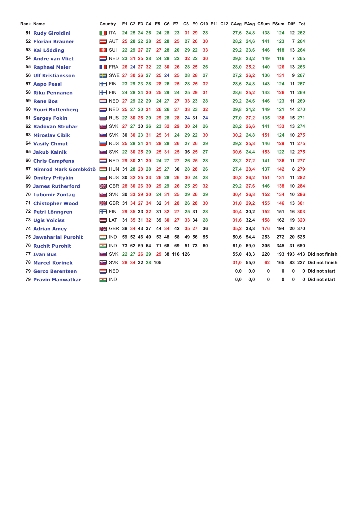| Rank Name                                          | Country                                           |  |                      |  |                               |       |       |      |  |      |           |              | E1 C2 E3 C4 E5 C6 E7 C8 E9 C10 E11 C12 CAvg EAvg CSum ESum Diff Tot |   |            |                            |
|----------------------------------------------------|---------------------------------------------------|--|----------------------|--|-------------------------------|-------|-------|------|--|------|-----------|--------------|---------------------------------------------------------------------|---|------------|----------------------------|
| <b>51 Rudy Giroldini</b>                           | <b>THE ITA 24 25 24 26 24 28 23 31 29 28</b>      |  |                      |  |                               |       |       |      |  |      | 27,6 24,8 | 138          | 124 12 262                                                          |   |            |                            |
| <b>52 Florian Brauner</b>                          | AUT 25 28 22 28 25 28<br>$\equiv$                 |  |                      |  | - 25                          | 27 26 |       | 30   |  |      | 28,2 24,6 | 141          | 123                                                                 |   | 7 264      |                            |
| 53 Kai Lödding                                     | SUI 22 29 27 27 27 28 20 29 22<br><b>Security</b> |  |                      |  |                               |       |       | -33  |  |      | 29,2 23,6 | 146          | 118                                                                 |   | 13 264     |                            |
| 54 Andre van Vliet                                 | NED 23 31 25 28 24 28<br><b>Participate</b>       |  |                      |  | 22                            | 32 22 |       | 30   |  |      | 29,8 23,2 | 149          | 116                                                                 |   | 7 265      |                            |
| 55 Raphael Maier                                   | FRA 26 24 27 32 22 30 26                          |  |                      |  |                               |       | 28 25 | -26  |  |      | 28,0 25,2 | 140          | 126                                                                 |   | 13 266     |                            |
| <b>56 Ulf Kristiansson</b>                         | SWE 27 30 26 27 25 24 25<br>÷                     |  |                      |  |                               | 28 28 |       | 27   |  |      | 27,2 26,2 | 136          | 131                                                                 |   | 9 267      |                            |
| 57 Aapo Pessi                                      | <b>H</b> FIN                                      |  | 23 29 23 28 28 26 25 |  |                               | 28 25 |       | 32   |  |      | 28,6 24,8 | 143          | 124                                                                 |   | 11 267     |                            |
| <b>58 Riku Pennanen</b>                            | FIN 24 28 24 30 25 29 24 25 29                    |  |                      |  |                               |       |       | 31   |  |      | 28,6 25,2 | 143          | 126                                                                 |   | 11 269     |                            |
| 59 Rene Bos                                        | NED 27 29 22 29 24 27 27<br>—                     |  |                      |  |                               |       | 33 23 | 28   |  |      | 29,2 24,6 | 146          | 123                                                                 |   | 11 269     |                            |
| <b>60 Youri Bottenberg</b>                         | NED 25 27 20 31 26 26 27 33 23<br>=               |  |                      |  |                               |       |       | -32  |  |      | 29,8 24,2 | 149          |                                                                     |   | 121 14 270 |                            |
| <b>61 Sergey Fokin</b>                             | RUS 22 30 26 29 29 28<br><b>College</b>           |  |                      |  | - 28                          |       | 24 31 | 24   |  |      | 27,0 27,2 | 135          | 136                                                                 |   | 15 271     |                            |
| <b>62 Radovan Struhar</b>                          | SVK 27 27 30 26 23 32 29<br><b>BAR</b>            |  |                      |  |                               |       | 30 24 | 26   |  |      | 28,2 26,6 | 141          | 133                                                                 |   | 13 274     |                            |
| <b>63 Miroslav Cibik</b>                           | SVK 30 30 23 31 25 31 24 29 22<br>سالات           |  |                      |  |                               |       |       | 30   |  |      | 30,2 24,8 | 151          | 124                                                                 |   | 10 275     |                            |
| 64 Vasily Chmut                                    | RUS 25 28 24 34 28 28 26                          |  |                      |  |                               | 27 26 |       | 29   |  |      | 29,2 25,8 | 146          | 129                                                                 |   | 11 275     |                            |
| 65 Jakub Kalnik                                    | SVK 22 30 25 29 25 31 25<br>255.00                |  |                      |  |                               | 36 25 |       | - 27 |  |      | 30,6 24,4 | 153          |                                                                     |   | 122 12 275 |                            |
| <b>66 Chris Campfens</b>                           | NED 29 30 31 30 24 27<br>=                        |  |                      |  | -27                           |       | 26 25 | 28   |  |      | 28,2 27,2 | 141          | 136                                                                 |   | 11 277     |                            |
| 67 Nimrod Mark Gombkötö - HUN 31 28 28 28 25 27 30 |                                                   |  |                      |  |                               | 28 28 |       | 26   |  |      | 27,4 28,4 | 137          | 142                                                                 |   | 8 279      |                            |
| <b>68 Dmitry Pritykin</b>                          | RUS 30 32 25 33 26 28 26<br><b>Service</b>        |  |                      |  |                               |       | 30 24 | 28   |  |      | 30,2 26,2 | 151          | 131                                                                 |   | 11 282     |                            |
| 69 James Rutherford                                | GBR 28 30 26 30 29 29 26                          |  |                      |  |                               | 25 29 |       | 32   |  |      | 29,2 27,6 | 146          | 138                                                                 |   | 10 284     |                            |
| 70 Lubomir Zontag                                  | SVK 30 33 29 30 24 31 25<br><b>SAMPLE</b>         |  |                      |  |                               |       | 29 26 | 29   |  |      | 30,4 26,8 | 152          | 134                                                                 |   | 10 286     |                            |
| <b>71 Chistopher Wood</b>                          | GBR 31 34 27 34 32 31<br><b>SANAK</b>             |  |                      |  | 28                            |       | 26 28 | 30   |  |      | 31,0 29,2 | 155          | 146                                                                 |   | 13 301     |                            |
| 72 Petri Lönngren                                  | $\blacksquare$ FIN                                |  |                      |  | 29 35 33 32 31 32 27 25 31    |       |       | 28   |  |      | 30,4 30,2 | 152          |                                                                     |   | 151 16 303 |                            |
| <b>73 Ugis Voiciss</b>                             | LAT<br>—                                          |  | 31 35 31 32 39 30 27 |  |                               |       | 33 34 | 28   |  |      | 31,6 32,4 | 158          |                                                                     |   | 162 19 320 |                            |
| <b>74 Adrian Amey</b>                              | GBR 38 34 43 37 44 34 42 35 27 36                 |  |                      |  |                               |       |       |      |  |      | 35,2 38,8 | 176          |                                                                     |   | 194 20 370 |                            |
| 75 Jawaharlal Purohit                              | $\sim$<br>IND.                                    |  |                      |  | 59 52 46 49 53 48 58 49 56    |       |       | 55   |  |      | 50,6 54,4 | 253          | 272                                                                 |   | 20 525     |                            |
| <b>76 Ruchit Purohit</b>                           | $\sim$<br>IND.                                    |  |                      |  | 73 62 59 64 71 68 69 51 73 60 |       |       |      |  |      | 61,0 69,0 | 305          | 345 31 650                                                          |   |            |                            |
| 77 Ivan Bus                                        | SVK 22 27 26 29 29 38 116 126<br>سالات            |  |                      |  |                               |       |       |      |  |      | 55,0 48,3 | 220          |                                                                     |   |            | 193 193 413 Did not finish |
| <b>78 Marcel Korinek</b>                           | SVK 28 34 32 28 105<br>25.200                     |  |                      |  |                               |       |       |      |  | 31,0 | 55,0      | 62           | 165                                                                 |   |            | 83 227 Did not finish      |
| <b>79 Gerco Berentsen</b>                          | <b>NED</b><br>$\equiv$                            |  |                      |  |                               |       |       |      |  | 0,0  | 0,0       | 0            | 0                                                                   | 0 |            | 0 Did not start            |
| 79 Pravin Manwatkar                                | <b>College</b><br><b>IND</b>                      |  |                      |  |                               |       |       |      |  | 0,0  | 0,0       | $\mathbf{0}$ | 0                                                                   | 0 |            | 0 Did not start            |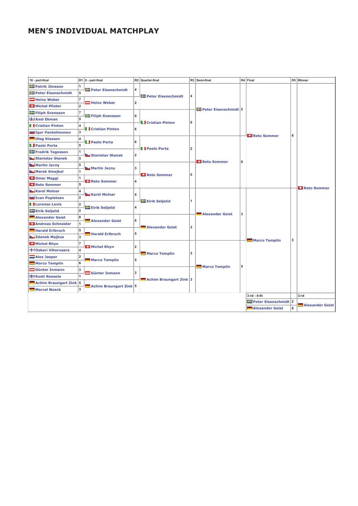#### double wedges, bridge, wedge with target window, slope without obstacle, double waves, **MEN'S INDIVIDUAL MATCHPLAY**loop, lightning, middle hill, kidney

| 16 - part-final             |                                                                                                                                                                                                                                                                                                                                                                                                                                                                               |                | R <sub>2</sub> Quarter-final |  | R <sub>3</sub> Semi-final      | R4 Final              |                                 | R5 Winner             |
|-----------------------------|-------------------------------------------------------------------------------------------------------------------------------------------------------------------------------------------------------------------------------------------------------------------------------------------------------------------------------------------------------------------------------------------------------------------------------------------------------------------------------|----------------|------------------------------|--|--------------------------------|-----------------------|---------------------------------|-----------------------|
| <b>Patrik Jönsson</b>       |                                                                                                                                                                                                                                                                                                                                                                                                                                                                               |                | <b>FE</b> Peter Eisenschmidt |  | <b>ED</b> Peter Eisenschmidt 2 |                       |                                 |                       |
| <b>Peter Eisenschmidt</b>   |                                                                                                                                                                                                                                                                                                                                                                                                                                                                               |                |                              |  |                                |                       |                                 |                       |
| <b>Heinz Weber</b>          | R1 8 - part-final<br><b>FE</b> Peter Eisenschmidt<br><b>Heinz Weber</b><br>$\overline{2}$<br><b>ED</b> Filiph Svensson<br>5<br>$\overline{4}$<br><b>I</b> Cristian Pinton<br> 4<br><b>I</b> Paolo Porta<br>15<br>Stanislav Stanek<br>5<br>5<br>Martin Jecny<br><b>El</b> Reto Sommer<br>5<br>Karel Molnar<br>$\vert$ 2<br> 2 <br><b>Eirik Seljelid</b><br>5<br>8<br>Alexander Geist<br>5<br><b>Harald Erlbruch</b><br><b>M</b> Michel Rhyn<br>$\overline{2}$<br>Marco Templin |                |                              |  |                                |                       |                                 |                       |
| <b>Michel Pfister</b>       |                                                                                                                                                                                                                                                                                                                                                                                                                                                                               | $\overline{2}$ |                              |  |                                |                       |                                 |                       |
| <b>EE</b> Filiph Svensson   |                                                                                                                                                                                                                                                                                                                                                                                                                                                                               |                | <b>Cristian Pinton</b>       |  |                                |                       |                                 |                       |
| <b>T</b> Axel Ekman         |                                                                                                                                                                                                                                                                                                                                                                                                                                                                               |                |                              |  |                                |                       |                                 |                       |
| <b>T</b> Cristian Pinton    |                                                                                                                                                                                                                                                                                                                                                                                                                                                                               |                |                              |  |                                |                       |                                 |                       |
| <b>Type Pantelimonov</b>    |                                                                                                                                                                                                                                                                                                                                                                                                                                                                               |                |                              |  |                                |                       |                                 |                       |
| Oleg Klassen                |                                                                                                                                                                                                                                                                                                                                                                                                                                                                               |                | <b>Paolo Porta</b>           |  |                                | <b>El</b> Reto Sommer |                                 |                       |
| <b>Il Paolo Porta</b>       |                                                                                                                                                                                                                                                                                                                                                                                                                                                                               |                |                              |  |                                |                       |                                 |                       |
| <b>Fredrik Tagesson</b>     |                                                                                                                                                                                                                                                                                                                                                                                                                                                                               |                |                              |  |                                |                       |                                 |                       |
| Stanislav Stanek            |                                                                                                                                                                                                                                                                                                                                                                                                                                                                               | $ 2\rangle$    |                              |  |                                |                       |                                 |                       |
| Martin Jecny                |                                                                                                                                                                                                                                                                                                                                                                                                                                                                               |                |                              |  | <b>EX</b> Reto Sommer          | ۱ĥ                    |                                 |                       |
| <b>Marek Smejkal</b>        |                                                                                                                                                                                                                                                                                                                                                                                                                                                                               | $\overline{3}$ | <b>EJ</b> Reto Sommer        |  |                                |                       |                                 |                       |
| <b>M</b> Omar Maggi         |                                                                                                                                                                                                                                                                                                                                                                                                                                                                               |                |                              |  |                                |                       |                                 |                       |
| <b>El</b> Reto Sommer       |                                                                                                                                                                                                                                                                                                                                                                                                                                                                               |                |                              |  |                                |                       |                                 |                       |
| Karel Molnar                |                                                                                                                                                                                                                                                                                                                                                                                                                                                                               |                | <b>ED</b> Eirik Seljelid     |  |                                |                       |                                 | <b>El</b> Reto Sommer |
| <b>Exam Popleteev</b>       |                                                                                                                                                                                                                                                                                                                                                                                                                                                                               |                |                              |  | Alexander Geist                |                       |                                 |                       |
| <b>TH</b> Lorenzo Levis     |                                                                                                                                                                                                                                                                                                                                                                                                                                                                               |                |                              |  |                                |                       |                                 |                       |
| <b>EE</b> Eirik Seljelid    |                                                                                                                                                                                                                                                                                                                                                                                                                                                                               |                |                              |  |                                |                       |                                 |                       |
| Alexander Geist             |                                                                                                                                                                                                                                                                                                                                                                                                                                                                               |                | Alexander Geist              |  |                                |                       |                                 |                       |
| <b>La</b> Andreas Schneider |                                                                                                                                                                                                                                                                                                                                                                                                                                                                               |                |                              |  |                                |                       |                                 |                       |
| <b>Harald Erlbruch</b>      |                                                                                                                                                                                                                                                                                                                                                                                                                                                                               |                |                              |  |                                |                       |                                 |                       |
| <b>Zdenek Majkus</b>        |                                                                                                                                                                                                                                                                                                                                                                                                                                                                               |                |                              |  |                                |                       |                                 |                       |
| Michel Rhyn                 |                                                                                                                                                                                                                                                                                                                                                                                                                                                                               |                | <b>Marco Templin</b>         |  | <b>Marco Templin</b>           |                       | <b>Marco Templin</b>            |                       |
| <b>to Oskari Vihervaara</b> |                                                                                                                                                                                                                                                                                                                                                                                                                                                                               |                |                              |  |                                |                       |                                 |                       |
| Alex Jasper                 |                                                                                                                                                                                                                                                                                                                                                                                                                                                                               |                |                              |  |                                |                       |                                 |                       |
| Marco Templin               | 6                                                                                                                                                                                                                                                                                                                                                                                                                                                                             |                |                              |  |                                |                       |                                 |                       |
| Günter Inmann               | $ 3\rangle$                                                                                                                                                                                                                                                                                                                                                                                                                                                                   |                | Achim Braungart Zink 3       |  |                                | 5                     |                                 |                       |
| <b>± Kosti Raesola</b>      | Günter Inmann                                                                                                                                                                                                                                                                                                                                                                                                                                                                 |                |                              |  |                                |                       |                                 |                       |
| Achim Braungart Zink 5      |                                                                                                                                                                                                                                                                                                                                                                                                                                                                               |                |                              |  |                                |                       |                                 |                       |
| Marcel Noack                | Achim Braungart Zink 5<br>$\vert$ <sub>3</sub>                                                                                                                                                                                                                                                                                                                                                                                                                                |                |                              |  |                                |                       |                                 |                       |
|                             |                                                                                                                                                                                                                                                                                                                                                                                                                                                                               |                |                              |  |                                |                       | 3:rd - 4:th                     | 3:rd                  |
|                             |                                                                                                                                                                                                                                                                                                                                                                                                                                                                               |                |                              |  |                                |                       | <b>THE Peter Eisenschmidt 2</b> |                       |
|                             |                                                                                                                                                                                                                                                                                                                                                                                                                                                                               |                |                              |  |                                |                       | Alexander Geist                 | Alexander Geist       |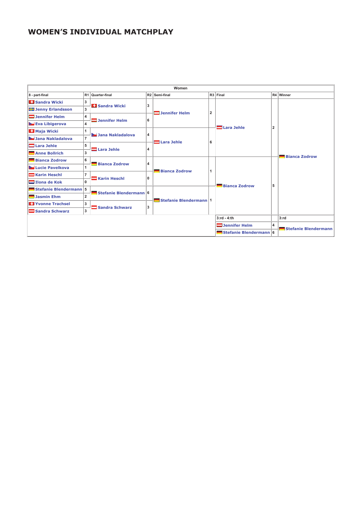## **WOMEN'S INDIVIDUAL MATCHPLAY**

| Women                         |                                       |                                   |  |                                          |            |                      |                |                      |  |  |  |  |
|-------------------------------|---------------------------------------|-----------------------------------|--|------------------------------------------|------------|----------------------|----------------|----------------------|--|--|--|--|
| 8 - part-final                |                                       | R1 Quarter-final                  |  | R <sub>2</sub> Semi-final                | $R3$ Final |                      |                | R4 Winner            |  |  |  |  |
| <b>El</b> Sandra Wicki        | 3                                     | <b>EJ</b> Sandra Wicki            |  | Jennifer Helm<br>$\overline{\mathbf{2}}$ |            | $\equiv$ Lara Jehle  | $\overline{2}$ | <b>Bianca Zodrow</b> |  |  |  |  |
| <b>EE Jenny Erlandsson</b>    | 3                                     |                                   |  |                                          |            |                      |                |                      |  |  |  |  |
| <b>Solution</b> Jennifer Helm | 4                                     | $\blacksquare$ Jennifer Helm<br>6 |  |                                          |            |                      |                |                      |  |  |  |  |
| Eva Libigerova                | 4                                     |                                   |  |                                          |            |                      |                |                      |  |  |  |  |
| <b>Maja Wicki</b>             | $\mathbf{1}$                          | <b>La Jana Nakladalova</b>        |  | $\blacksquare$ Lara Jehle                |            |                      |                |                      |  |  |  |  |
| Jana Nakladalova              | $\overline{7}$                        |                                   |  |                                          |            |                      |                |                      |  |  |  |  |
| $\blacksquare$ Lara Jehle     | 5                                     | $\blacksquare$ Lara Jehle         |  |                                          |            |                      |                |                      |  |  |  |  |
| Anne Bollrich                 | 3                                     |                                   |  |                                          |            |                      |                |                      |  |  |  |  |
| <b>Bianca Zodrow</b>          | 6                                     | <b>Bianca Zodrow</b>              |  |                                          |            |                      |                |                      |  |  |  |  |
| <b>Lucie Pavelkova</b>        | 1                                     |                                   |  | <b>Bianca Zodrow</b>                     | 1          |                      |                |                      |  |  |  |  |
| $\equiv$ Karin Heschl         | $\overline{7}$                        | <b>Karin Heschl</b><br>0          |  |                                          |            | <b>Bianca Zodrow</b> | 5              |                      |  |  |  |  |
| $\equiv$ Ilona de Kok         | 0                                     |                                   |  |                                          |            |                      |                |                      |  |  |  |  |
| Stefanie Blendermann 5        |                                       | Stefanie Blendermann 6            |  |                                          |            |                      |                |                      |  |  |  |  |
| $\blacksquare$ Jasmin Ehm     | $\overline{2}$                        |                                   |  | Stefanie Blendermann 1                   |            |                      |                |                      |  |  |  |  |
| <b>Li</b> Yvonne Trachsel     | 3                                     | Sandra Schwarz<br>3               |  |                                          |            |                      |                |                      |  |  |  |  |
| Sandra Schwarz                | 3                                     |                                   |  |                                          |            |                      |                |                      |  |  |  |  |
|                               |                                       |                                   |  |                                          |            | $3:rd - 4:th$        |                | 3:rd                 |  |  |  |  |
|                               | $\overline{\bf{4}}$                   | Stefanie Blendermann              |  |                                          |            |                      |                |                      |  |  |  |  |
|                               | $\blacksquare$ Stefanie Blendermann 6 |                                   |  |                                          |            |                      |                |                      |  |  |  |  |